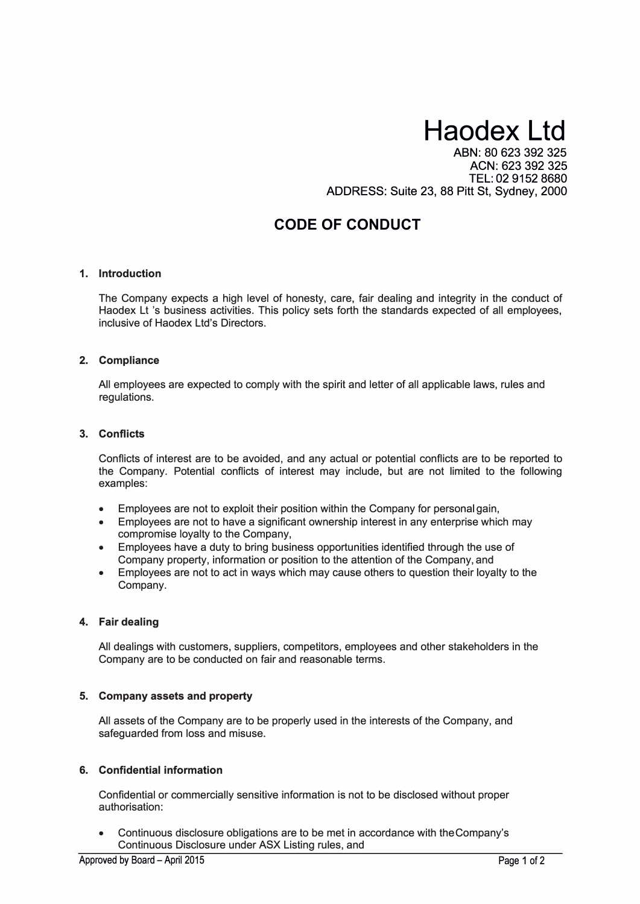# **Haodex Ltd**

ABN: 80 623 392 325 ACN: 623 392 325 TEL: 02 9152 8680 ADDRESS: Suite 23, 88 Pitt St, Sydney, 2000

# **CODE OF CONDUCT**

#### **1. Introduction**

The Company expects a high level of honesty, care, fair dealing and integrity in the conduct of Haodex Lt 's business activities. This policy sets forth the standards expected of all employees, inclusive of Haodex Ltd's Directors.

#### **2. Compliance**

All employees are expected to comply with the spirit and letter of all applicable laws, rules and regulations.

## **3. Conflicts**

Conflicts of interest are to be avoided, and any actual or potential conflicts are to be reported to the Company. Potential conflicts of interest may include, but are not limited to the following examples:

- Employees are not to exploit their position within the Company for personal gain,
- Employees are not to have a significant ownership interest in any enterprise which may compromise loyalty to the Company,
- Employees have a duty to bring business opportunities identified through the use of Company property, information or position to the attention of the Company, and
- Employees are not to act in ways which may cause others to question their loyalty to the Company.

#### **4. Fair dealing**

All dealings with customers, suppliers, competitors, employees and other stakeholders in the Company are to be conducted on fair and reasonable terms.

#### **5. Company assets and property**

All assets of the Company are to be properly used in the interests of the Company, and safeguarded from loss and misuse.

#### **6. Confidential information**

Confidential or commercially sensitive information is not to be disclosed without proper authorisation:

• Continuous disclosure obligations are to be met in accordance with the Company's Continuous Disclosure under ASX Listing rules, and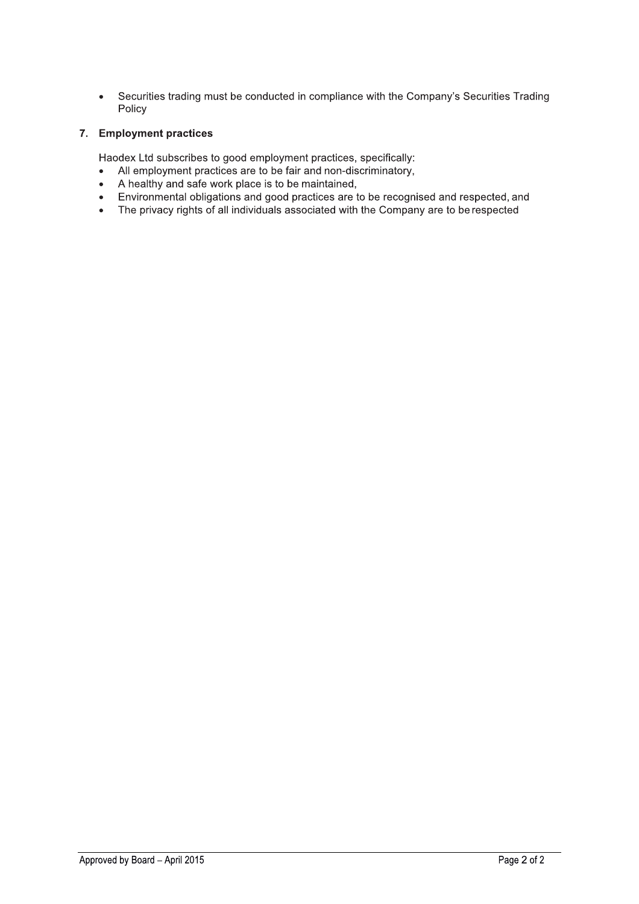Securities trading must be conducted in compliance with the Company's Securities Trading  $\bullet$ Policy

## 7. Employment practices

Haodex Ltd subscribes to good employment practices, specifically:

- All employment practices are to be fair and non-discriminatory,  $\bullet$
- A healthy and safe work place is to be maintained,  $\bullet$
- Environmental obligations and good practices are to be recognised and respected, and  $\bullet$
- The privacy rights of all individuals associated with the Company are to be respected  $\bullet$